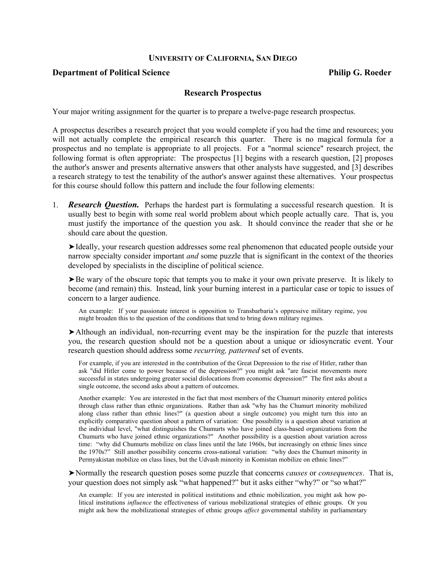## **UNIVERSITY OF CALIFORNIA, SAN DIEGO**

## **Department of Political Science Philip G. Roeder Philip G. Roeder Philip G. Roeder**

## **Research Prospectus**

Your major writing assignment for the quarter is to prepare a twelve-page research prospectus.

A prospectus describes a research project that you would complete if you had the time and resources; you will not actually complete the empirical research this quarter. There is no magical formula for a prospectus and no template is appropriate to all projects. For a "normal science" research project, the following format is often appropriate: The prospectus [1] begins with a research question, [2] proposes the author's answer and presents alternative answers that other analysts have suggested, and [3] describes a research strategy to test the tenability of the author's answer against these alternatives. Your prospectus for this course should follow this pattern and include the four following elements:

1. *Research Question.* Perhaps the hardest part is formulating a successful research question. It is usually best to begin with some real world problem about which people actually care. That is, you must justify the importance of the question you ask. It should convince the reader that she or he should care about the question.

➤Ideally, your research question addresses some real phenomenon that educated people outside your narrow specialty consider important *and* some puzzle that is significant in the context of the theories developed by specialists in the discipline of political science.

➤Be wary of the obscure topic that tempts you to make it your own private preserve. It is likely to become (and remain) this. Instead, link your burning interest in a particular case or topic to issues of concern to a larger audience.

An example: If your passionate interest is opposition to Transbarbaria's oppressive military regime, you might broaden this to the question of the conditions that tend to bring down military regimes.

➤Although an individual, non-recurring event may be the inspiration for the puzzle that interests you, the research question should not be a question about a unique or idiosyncratic event. Your research question should address some *recurring, patterned* set of events.

For example, if you are interested in the contribution of the Great Depression to the rise of Hitler, rather than ask "did Hitler come to power because of the depression?" you might ask "are fascist movements more successful in states undergoing greater social dislocations from economic depression?" The first asks about a single outcome, the second asks about a pattern of outcomes.

Another example: You are interested in the fact that most members of the Chumurt minority entered politics through class rather than ethnic organizations. Rather than ask "why has the Chumurt minority mobilized along class rather than ethnic lines?" (a question about a single outcome) you might turn this into an explicitly comparative question about a pattern of variation: One possibility is a question about variation at the individual level, "what distinguishes the Chumurts who have joined class-based organizations from the Chumurts who have joined ethnic organizations?" Another possibility is a question about variation across time: "why did Chumurts mobilize on class lines until the late 1960s, but increasingly on ethnic lines since the 1970s?" Still another possibility concerns cross-national variation: "why does the Chumurt minority in Permyakistan mobilize on class lines, but the Udvash minority in Komistan mobilize on ethnic lines?"

➤Normally the research question poses some puzzle that concerns *causes* or *consequences*. That is, your question does not simply ask "what happened?" but it asks either "why?" or "so what?"

An example: If you are interested in political institutions and ethnic mobilization, you might ask how political institutions *influence* the effectiveness of various mobilizational strategies of ethnic groups. Or you might ask how the mobilizational strategies of ethnic groups *affect* governmental stability in parliamentary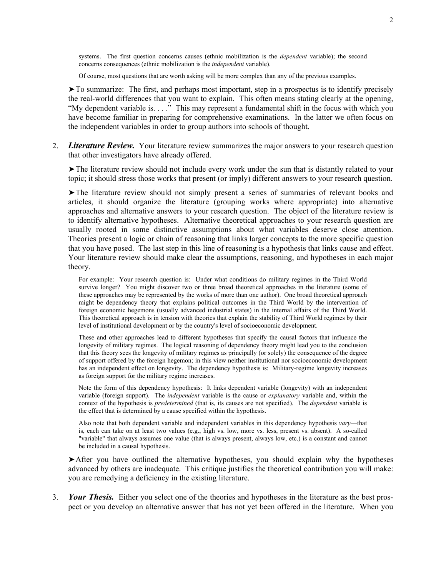systems. The first question concerns causes (ethnic mobilization is the *dependent* variable); the second concerns consequences (ethnic mobilization is the *independent* variable).

Of course, most questions that are worth asking will be more complex than any of the previous examples.

➤To summarize: The first, and perhaps most important, step in a prospectus is to identify precisely the real-world differences that you want to explain. This often means stating clearly at the opening, "My dependent variable is. . . ." This may represent a fundamental shift in the focus with which you have become familiar in preparing for comprehensive examinations. In the latter we often focus on the independent variables in order to group authors into schools of thought.

2. *Literature Review.* Your literature review summarizes the major answers to your research question that other investigators have already offered.

➤The literature review should not include every work under the sun that is distantly related to your topic; it should stress those works that present (or imply) different answers to your research question.

➤The literature review should not simply present a series of summaries of relevant books and articles, it should organize the literature (grouping works where appropriate) into alternative approaches and alternative answers to your research question. The object of the literature review is to identify alternative hypotheses. Alternative theoretical approaches to your research question are usually rooted in some distinctive assumptions about what variables deserve close attention. Theories present a logic or chain of reasoning that links larger concepts to the more specific question that you have posed. The last step in this line of reasoning is a hypothesis that links cause and effect. Your literature review should make clear the assumptions, reasoning, and hypotheses in each major theory.

For example: Your research question is: Under what conditions do military regimes in the Third World survive longer? You might discover two or three broad theoretical approaches in the literature (some of these approaches may be represented by the works of more than one author). One broad theoretical approach might be dependency theory that explains political outcomes in the Third World by the intervention of foreign economic hegemons (usually advanced industrial states) in the internal affairs of the Third World. This theoretical approach is in tension with theories that explain the stability of Third World regimes by their level of institutional development or by the country's level of socioeconomic development.

These and other approaches lead to different hypotheses that specify the causal factors that influence the longevity of military regimes. The logical reasoning of dependency theory might lead you to the conclusion that this theory sees the longevity of military regimes as principally (or solely) the consequence of the degree of support offered by the foreign hegemon; in this view neither institutional nor socioeconomic development has an independent effect on longevity. The dependency hypothesis is: Military-regime longevity increases as foreign support for the military regime increases.

Note the form of this dependency hypothesis: It links dependent variable (longevity) with an independent variable (foreign support). The *independent* variable is the cause or *explanatory* variable and, within the context of the hypothesis is *predetermined* (that is, its causes are not specified). The *dependent* variable is the effect that is determined by a cause specified within the hypothesis.

Also note that both dependent variable and independent variables in this dependency hypothesis *vary*—that is, each can take on at least two values (e.g., high vs. low, more vs. less, present vs. absent). A so-called "variable" that always assumes one value (that is always present, always low, etc.) is a constant and cannot be included in a causal hypothesis.

➤After you have outlined the alternative hypotheses, you should explain why the hypotheses advanced by others are inadequate. This critique justifies the theoretical contribution you will make: you are remedying a deficiency in the existing literature.

3. *Your Thesis.* Either you select one of the theories and hypotheses in the literature as the best prospect or you develop an alternative answer that has not yet been offered in the literature. When you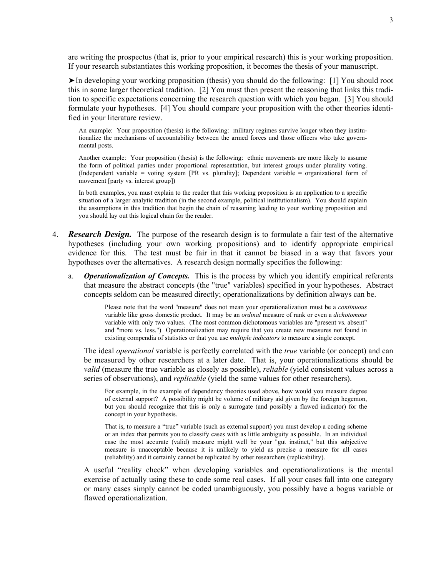are writing the prospectus (that is, prior to your empirical research) this is your working proposition. If your research substantiates this working proposition, it becomes the thesis of your manuscript.

➤In developing your working proposition (thesis) you should do the following: [1] You should root this in some larger theoretical tradition. [2] You must then present the reasoning that links this tradition to specific expectations concerning the research question with which you began. [3] You should formulate your hypotheses. [4] You should compare your proposition with the other theories identified in your literature review.

An example: Your proposition (thesis) is the following: military regimes survive longer when they institutionalize the mechanisms of accountability between the armed forces and those officers who take governmental posts.

Another example: Your proposition (thesis) is the following: ethnic movements are more likely to assume the form of political parties under proportional representation, but interest groups under plurality voting. (Independent variable = voting system  $[PR \text{ vs. plurality}]$ ; Dependent variable = organizational form of movement [party vs. interest group])

In both examples, you must explain to the reader that this working proposition is an application to a specific situation of a larger analytic tradition (in the second example, political institutionalism). You should explain the assumptions in this tradition that begin the chain of reasoning leading to your working proposition and you should lay out this logical chain for the reader.

- 4. *Research Design.* The purpose of the research design is to formulate a fair test of the alternative hypotheses (including your own working propositions) and to identify appropriate empirical evidence for this. The test must be fair in that it cannot be biased in a way that favors your hypotheses over the alternatives. A research design normally specifies the following:
	- a. *Operationalization of Concepts.* This is the process by which you identify empirical referents that measure the abstract concepts (the "true" variables) specified in your hypotheses. Abstract concepts seldom can be measured directly; operationalizations by definition always can be.

Please note that the word "measure" does not mean your operationalization must be a *continuous*  variable like gross domestic product. It may be an *ordinal* measure of rank or even a *dichotomous*  variable with only two values. (The most common dichotomous variables are "present vs. absent" and "more vs. less.") Operationalization may require that you create new measures not found in existing compendia of statistics or that you use *multiple indicators* to measure a single concept.

 The ideal *operational* variable is perfectly correlated with the *true* variable (or concept) and can be measured by other researchers at a later date. That is, your operationalizations should be *valid* (measure the true variable as closely as possible), *reliable* (yield consistent values across a series of observations), and *replicable* (yield the same values for other researchers).

For example, in the example of dependency theories used above, how would you measure degree of external support? A possibility might be volume of military aid given by the foreign hegemon, but you should recognize that this is only a surrogate (and possibly a flawed indicator) for the concept in your hypothesis.

That is, to measure a "true" variable (such as external support) you must develop a coding scheme or an index that permits you to classify cases with as little ambiguity as possible. In an individual case the most accurate (valid) measure might well be your "gut instinct," but this subjective measure is unacceptable because it is unlikely to yield as precise a measure for all cases (reliability) and it certainly cannot be replicated by other researchers (replicability).

 A useful "reality check" when developing variables and operationalizations is the mental exercise of actually using these to code some real cases. If all your cases fall into one category or many cases simply cannot be coded unambiguously, you possibly have a bogus variable or flawed operationalization.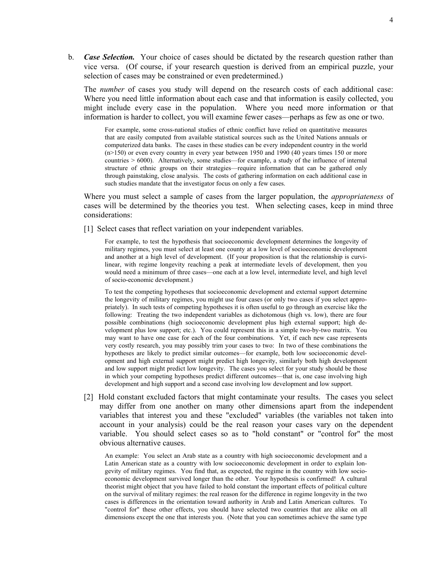b. *Case Selection.* Your choice of cases should be dictated by the research question rather than vice versa. (Of course, if your research question is derived from an empirical puzzle, your selection of cases may be constrained or even predetermined.)

 The *number* of cases you study will depend on the research costs of each additional case: Where you need little information about each case and that information is easily collected, you might include every case in the population. Where you need more information or that information is harder to collect, you will examine fewer cases—perhaps as few as one or two.

For example, some cross-national studies of ethnic conflict have relied on quantitative measures that are easily computed from available statistical sources such as the United Nations annuals or computerized data banks. The cases in these studies can be every independent country in the world (n>150) or even every country in every year between 1950 and 1990 (40 years times 150 or more countries  $> 6000$ ). Alternatively, some studies—for example, a study of the influence of internal structure of ethnic groups on their strategies—require information that can be gathered only through painstaking, close analysis. The costs of gathering information on each additional case in such studies mandate that the investigator focus on only a few cases.

 Where you must select a sample of cases from the larger population, the *appropriateness* of cases will be determined by the theories you test. When selecting cases, keep in mind three considerations:

[1] Select cases that reflect variation on your independent variables.

For example, to test the hypothesis that socioeconomic development determines the longevity of military regimes, you must select at least one county at a low level of socioeconomic development and another at a high level of development. (If your proposition is that the relationship is curvilinear, with regime longevity reaching a peak at intermediate levels of development, then you would need a minimum of three cases—one each at a low level, intermediate level, and high level of socio-economic development.)

To test the competing hypotheses that socioeconomic development and external support determine the longevity of military regimes, you might use four cases (or only two cases if you select appropriately). In such tests of competing hypotheses it is often useful to go through an exercise like the following: Treating the two independent variables as dichotomous (high vs. low), there are four possible combinations (high socioeconomic development plus high external support; high development plus low support; etc.). You could represent this in a simple two-by-two matrix. You may want to have one case for each of the four combinations. Yet, if each new case represents very costly research, you may possibly trim your cases to two: In two of these combinations the hypotheses are likely to predict similar outcomes—for example, both low socioeconomic development and high external support might predict high longevity, similarly both high development and low support might predict low longevity. The cases you select for your study should be those in which your competing hypotheses predict different outcomes—that is, one case involving high development and high support and a second case involving low development and low support.

[2] Hold constant excluded factors that might contaminate your results. The cases you select may differ from one another on many other dimensions apart from the independent variables that interest you and these "excluded" variables (the variables not taken into account in your analysis) could be the real reason your cases vary on the dependent variable. You should select cases so as to "hold constant" or "control for" the most obvious alternative causes.

An example: You select an Arab state as a country with high socioeconomic development and a Latin American state as a country with low socioeconomic development in order to explain longevity of military regimes. You find that, as expected, the regime in the country with low socioeconomic development survived longer than the other. Your hypothesis is confirmed! A cultural theorist might object that you have failed to hold constant the important effects of political culture on the survival of military regimes: the real reason for the difference in regime longevity in the two cases is differences in the orientation toward authority in Arab and Latin American cultures. To "control for" these other effects, you should have selected two countries that are alike on all dimensions except the one that interests you. (Note that you can sometimes achieve the same type